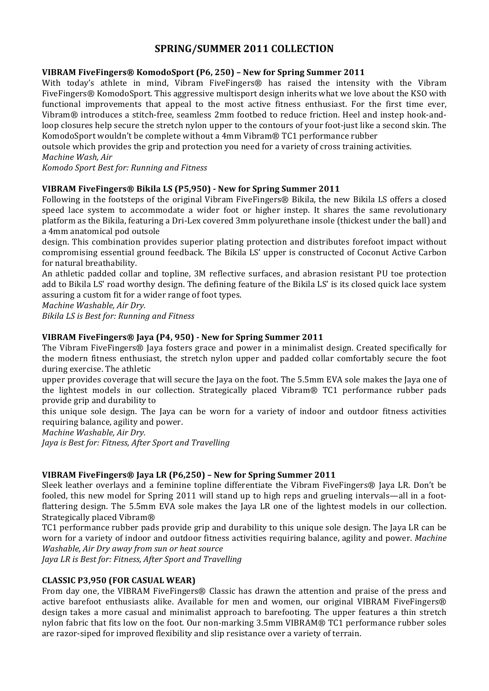# **SPRING/SUMMER+2011+COLLECTION**

## **VIBRAM+FiveFingers®+KomodoSport+(P6,+250) –+New+for+Spring+Summer+2011**

With today's athlete in mind, Vibram FiveFingers® has raised the intensity with the Vibram FiveFingers® KomodoSport. This aggressive multisport design inherits what we love about the KSO with functional improvements that appeal to the most active fitness enthusiast. For the first time ever, Vibram $\mathcal{R}$  introduces a stitch-free, seamless 2mm footbed to reduce friction. Heel and instep hook-andloop closures help secure the stretch nylon upper to the contours of your foot-just like a second skin. The KomodoSport wouldn't be complete without a 4mm Vibram® TC1 performance rubber

outsole which provides the grip and protection you need for a variety of cross training activities.

## *Machine Wash, Air*

*Komodo Sport Best for: Running and Fitness* 

## **VIBRAM+FiveFingers®+Bikila+LS+(P5,950) R+New+for+Spring+Summer+2011**

Following in the footsteps of the original Vibram FiveFingers® Bikila, the new Bikila LS offers a closed speed lace system to accommodate a wider foot or higher instep. It shares the same revolutionary platform as the Bikila, featuring a Dri-Lex covered 3mm polyurethane insole (thickest under the ball) and a 4mm anatomical pod outsole

design. This combination provides superior plating protection and distributes forefoot impact without compromising essential ground feedback. The Bikila LS' upper is constructed of Coconut Active Carbon for natural breathability.

An athletic padded collar and topline, 3M reflective surfaces, and abrasion resistant PU toe protection add to Bikila LS' road worthy design. The defining feature of the Bikila LS' is its closed quick lace system assuring a custom fit for a wider range of foot types.

*Machine Washable, Air Dry.* 

*Bikila LS is Best for: Running and Fitness* 

# VIBRAM FiveFingers® Jaya (P4, 950) **- New for Spring Summer 2011**

The Vibram FiveFingers® Jaya fosters grace and power in a minimalist design. Created specifically for the modern fitness enthusiast, the stretch nylon upper and padded collar comfortably secure the foot during exercise. The athletic

upper provides coverage that will secure the Jaya on the foot. The 5.5mm EVA sole makes the Jaya one of the lightest models in our collection. Strategically placed Vibram® TC1 performance rubber pads provide grip and durability to

this unique sole design. The Jaya can be worn for a variety of indoor and outdoor fitness activities requiring balance, agility and power.

*Machine Washable, Air Dry.* 

*Jaya is Best for: Fitness, After Sport and Travelling* 

## **VIBRAM+FiveFingers®+Jaya+LR+(P6,250) –+New+for+Spring+Summer+2011**

Sleek leather overlays and a feminine topline differentiate the Vibram FiveFingers® Jaya LR. Don't be fooled, this new model for Spring 2011 will stand up to high reps and grueling intervals—all in a footflattering design. The 5.5mm EVA sole makes the Jaya LR one of the lightest models in our collection. Strategically placed Vibram®

TC1 performance rubber pads provide grip and durability to this unique sole design. The Jaya LR can be worn for a variety of indoor and outdoor fitness activities requiring balance, agility and power. *Machine Washable, Air Dry away from sun or heat source* 

*Jaya LR is Best for: Fitness, After Sport and Travelling* 

## **CLASSIC+P3,950+(FOR+CASUAL+WEAR)**

From day one, the VIBRAM FiveFingers® Classic has drawn the attention and praise of the press and active barefoot enthusiasts alike. Available for men and women, our original VIBRAM FiveFingers® design takes a more casual and minimalist approach to barefooting. The upper features a thin stretch nylon fabric that fits low on the foot. Our non-marking 3.5mm VIBRAM® TC1 performance rubber soles are razor-siped for improved flexibility and slip resistance over a variety of terrain.